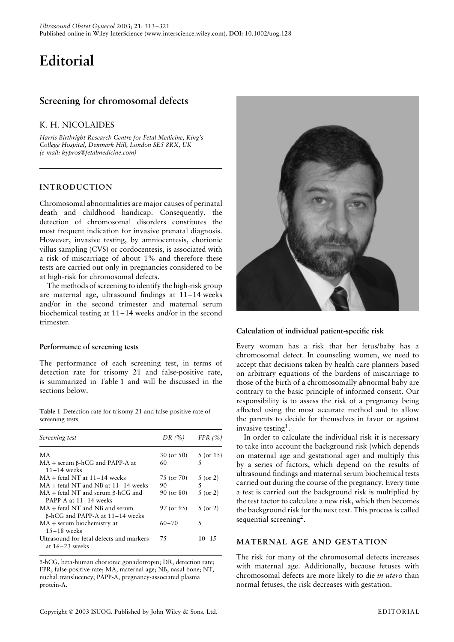# **Editorial**

## **Screening for chromosomal defects**

## K. H. NICOLAIDES

*Harris Birthright Research Centre for Fetal Medicine, King's College Hospital, Denmark Hill, London SE5 8RX, UK (e-mail: kypros@fetalmedicine.com)*

## **INTRODUCTION**

Chromosomal abnormalities are major causes of perinatal death and childhood handicap. Consequently, the detection of chromosomal disorders constitutes the most frequent indication for invasive prenatal diagnosis. However, invasive testing, by amniocentesis, chorionic villus sampling (CVS) or cordocentesis, is associated with a risk of miscarriage of about 1% and therefore these tests are carried out only in pregnancies considered to be at high-risk for chromosomal defects.

The methods of screening to identify the high-risk group are maternal age, ultrasound findings at 11–14 weeks and/or in the second trimester and maternal serum biochemical testing at 11–14 weeks and/or in the second trimester.

#### **Performance of screening tests**

The performance of each screening test, in terms of detection rate for trisomy 21 and false-positive rate, is summarized in Table 1 and will be discussed in the sections below.

**Table 1** Detection rate for trisomy 21 and false-positive rate of screening tests

| Screening test                                                                    | DR $(% )$       | FPR(%)         |
|-----------------------------------------------------------------------------------|-----------------|----------------|
| MА                                                                                | $30$ (or $50$ ) | $5$ (or $15$ ) |
| $MA + serum \beta-hCG$ and PAPP-A at<br>$11-14$ weeks                             | 60              | 5              |
| $MA + fetal NT$ at $11-14$ weeks                                                  | 75 (or 70)      | $5$ (or 2)     |
| $MA + \text{fetal NT}$ and NB at 11–14 weeks                                      | 90              | 5              |
| $MA + \text{fetal NT}$ and serum $\beta$ -hCG and<br>PAPP-A at 11–14 weeks        | $90$ (or $80$ ) | $5$ (or 2)     |
| $MA + \text{fetal NT}$ and NB and serum<br>$\beta$ -hCG and PAPP-A at 11–14 weeks | 97 (or 95)      | $5$ (or 2)     |
| $MA +$ serum biochemistry at<br>$15-18$ weeks                                     | $60 - 70$       | 5              |
| Ultrasound for fetal defects and markers<br>at 16–23 weeks                        | 75              | $10 - 1.5$     |

β-hCG, beta-human chorionic gonadotropin; DR, detection rate; FPR, false-positive rate; MA, maternal age; NB, nasal bone; NT, nuchal translucency; PAPP-A, pregnancy-associated plasma protein-A.



#### **Calculation of individual patient-specific risk**

Every woman has a risk that her fetus/baby has a chromosomal defect. In counseling women, we need to accept that decisions taken by health care planners based on arbitrary equations of the burdens of miscarriage to those of the birth of a chromosomally abnormal baby are contrary to the basic principle of informed consent. Our responsibility is to assess the risk of a pregnancy being affected using the most accurate method and to allow the parents to decide for themselves in favor or against invasive testing<sup>1</sup>.

In order to calculate the individual risk it is necessary to take into account the background risk (which depends on maternal age and gestational age) and multiply this by a series of factors, which depend on the results of ultrasound findings and maternal serum biochemical tests carried out during the course of the pregnancy. Every time a test is carried out the background risk is multiplied by the test factor to calculate a new risk, which then becomes the background risk for the next test. This process is called sequential screening<sup>2</sup>.

#### **MATERNAL AGE AND GESTATION**

The risk for many of the chromosomal defects increases with maternal age. Additionally, because fetuses with chromosomal defects are more likely to die *in utero* than normal fetuses, the risk decreases with gestation.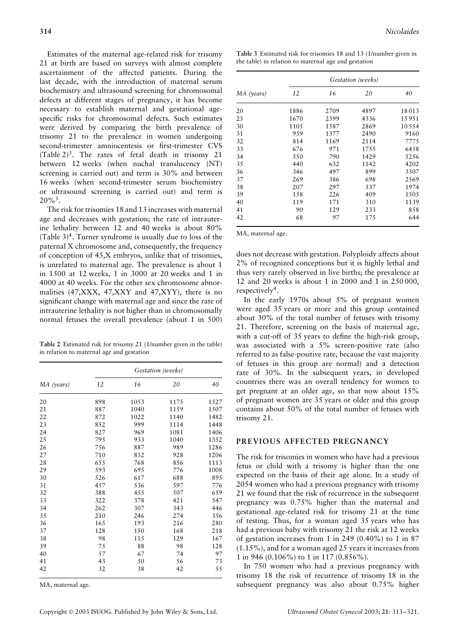Estimates of the maternal age-related risk for trisomy 21 at birth are based on surveys with almost complete ascertainment of the affected patients. During the last decade, with the introduction of maternal serum biochemistry and ultrasound screening for chromosomal defects at different stages of pregnancy, it has become necessary to establish maternal and gestational agespecific risks for chromosomal defects. Such estimates were derived by comparing the birth prevalence of trisomy 21 to the prevalence in women undergoing second-trimester amniocentesis or first-trimester CVS (Table  $2^3$ . The rates of fetal death in trisomy 21 between 12 weeks (when nuchal translucency (NT) screening is carried out) and term is 30% and between 16 weeks (when second-trimester serum biochemistry or ultrasound screening is carried out) and term is  $20\%^{3}$ .

The risk for trisomies 18 and 13 increases with maternal age and decreases with gestation; the rate of intrauterine lethality between 12 and 40 weeks is about 80% (Table  $3$ )<sup>4</sup>. Turner syndrome is usually due to loss of the paternal X chromosome and, consequently, the frequency of conception of 45,X embryos, unlike that of trisomies, is unrelated to maternal age. The prevalence is about 1 in 1500 at 12 weeks, 1 in 3000 at 20 weeks and 1 in 4000 at 40 weeks. For the other sex chromosome abnormalities (47,XXX, 47,XXY and 47,XYY), there is no significant change with maternal age and since the rate of intrauterine lethality is not higher than in chromosomally normal fetuses the overall prevalence (about 1 in 500)

**Table 2** Estimated risk for trisomy 21 (1/number given in the table) in relation to maternal age and gestation

|            | Gestation (weeks) |      |      |      |  |
|------------|-------------------|------|------|------|--|
| MA (years) | 12                | 16   | 20   | 40   |  |
| 20         | 898               | 1053 | 1175 | 1527 |  |
| 21         | 887               | 1040 | 1159 | 1507 |  |
| 22         | 872               | 1022 | 1140 | 1482 |  |
| 23         | 852               | 999  | 1114 | 1448 |  |
| 24         | 827               | 969  | 1081 | 1406 |  |
| 25         | 795               | 933  | 1040 | 1352 |  |
| 26         | 756               | 887  | 989  | 1286 |  |
| 27         | 710               | 832  | 928  | 1206 |  |
| 28         | 655               | 768  | 856  | 1113 |  |
| 29         | 593               | 695  | 776  | 1008 |  |
| 30         | 526               | 617  | 688  | 895  |  |
| 31         | 457               | 536  | 597  | 776  |  |
| 32         | 388               | 455  | 507  | 659  |  |
| 33         | 322               | 378  | 421  | 547  |  |
| 34         | 262               | 307  | 343  | 446  |  |
| 35         | 210               | 246  | 274  | 356  |  |
| 36         | 165               | 193  | 216  | 280  |  |
| 37         | 128               | 150  | 168  | 218  |  |
| 38         | 98                | 115  | 129  | 167  |  |
| 39         | 75                | 88   | 98   | 128  |  |
| 40         | 57                | 67   | 74   | 97   |  |
| 41         | 43                | 50   | 56   | 73   |  |
| 42         | 32                | 38   | 42   | 55   |  |

MA, maternal age.

**Table 3** Estimated risk for trisomies 18 and 13 (1/number given in the table) in relation to maternal age and gestation

| MA (years) | <i>Gestation (weeks)</i> |      |      |       |  |
|------------|--------------------------|------|------|-------|--|
|            | 12                       | 16   | 20   | 40    |  |
| 20         | 1886                     | 2709 | 4897 | 18013 |  |
| 25         | 1670                     | 2399 | 4336 | 15951 |  |
| 30         | 1105                     | 1587 | 2869 | 10554 |  |
| 31         | 959                      | 1377 | 2490 | 9160  |  |
| 32         | 814                      | 1169 | 2114 | 7775  |  |
| 33         | 676                      | 971  | 1755 | 6458  |  |
| 34         | 550                      | 790  | 1429 | 5256  |  |
| 35         | 440                      | 632  | 1142 | 4202  |  |
| 36         | 346                      | 497  | 899  | 3307  |  |
| 37         | 269                      | 386  | 698  | 2569  |  |
| 38         | 207                      | 297  | 537  | 1974  |  |
| 39         | 1.58                     | 226  | 409  | 1505  |  |
| 40         | 119                      | 171  | 310  | 1139  |  |
| 41         | 90                       | 129  | 233  | 858   |  |
| 42         | 68                       | 97   | 175  | 644   |  |

MA, maternal age.

does not decrease with gestation. Polyploidy affects about 2% of recognized conceptions but it is highly lethal and thus very rarely observed in live births; the prevalence at 12 and 20 weeks is about 1 in 2000 and 1 in 250 000, respectively<sup>4</sup>.

In the early 1970s about 5% of pregnant women were aged 35 years or more and this group contained about 30% of the total number of fetuses with trisomy 21. Therefore, screening on the basis of maternal age, with a cut-off of 35 years to define the high-risk group, was associated with a 5% screen-positive rate (also referred to as false-positive rate, because the vast majority of fetuses in this group are normal) and a detection rate of 30%. In the subsequent years, in developed countries there was an overall tendency for women to get pregnant at an older age, so that now about 15% of pregnant women are 35 years or older and this group contains about 50% of the total number of fetuses with trisomy 21.

#### **PREVIOUS AFFECTED PREGNANCY**

The risk for trisomies in women who have had a previous fetus or child with a trisomy is higher than the one expected on the basis of their age alone. In a study of 2054 women who had a previous pregnancy with trisomy 21 we found that the risk of recurrence in the subsequent pregnancy was 0.75% higher than the maternal and gestational age-related risk for trisomy 21 at the time of testing. Thus, for a woman aged 35 years who has had a previous baby with trisomy 21 the risk at 12 weeks of gestation increases from 1 in 249 (0.40%) to 1 in 87 (1.15%), and for a woman aged 25 years it increases from 1 in 946 (0.106%) to 1 in 117 (0.856%).

In 750 women who had a previous pregnancy with trisomy 18 the risk of recurrence of trisomy 18 in the subsequent pregnancy was also about 0.75% higher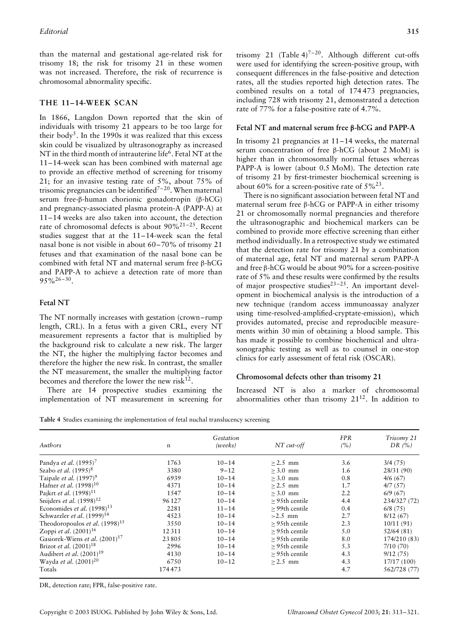than the maternal and gestational age-related risk for trisomy 18; the risk for trisomy 21 in these women was not increased. Therefore, the risk of recurrence is chromosomal abnormality specific.

#### **THE 11–14-WEEK SCAN**

In 1866, Langdon Down reported that the skin of individuals with trisomy 21 appears to be too large for their body<sup>5</sup>. In the 1990s it was realized that this excess skin could be visualized by ultrasonography as increased NT in the third month of intrauterine life<sup>6</sup>. Fetal NT at the 11–14-week scan has been combined with maternal age to provide an effective method of screening for trisomy 21; for an invasive testing rate of 5%, about 75% of trisomic pregnancies can be identified<sup> $7-20$ </sup>. When maternal serum free-β-human chorionic gonadotropin (β-hCG) and pregnancy-associated plasma protein-A (PAPP-A) at 11–14 weeks are also taken into account, the detection rate of chromosomal defects is about 90%21–25. Recent studies suggest that at the 11–14-week scan the fetal nasal bone is not visible in about 60–70% of trisomy 21 fetuses and that examination of the nasal bone can be combined with fetal NT and maternal serum free β-hCG and PAPP-A to achieve a detection rate of more than  $95\frac{6}{26}$ –30

#### **Fetal NT**

The NT normally increases with gestation (crown–rump length, CRL). In a fetus with a given CRL, every NT measurement represents a factor that is multiplied by the background risk to calculate a new risk. The larger the NT, the higher the multiplying factor becomes and therefore the higher the new risk. In contrast, the smaller the NT measurement, the smaller the multiplying factor becomes and therefore the lower the new risk $^{12}$ .

There are 14 prospective studies examining the implementation of NT measurement in screening for

trisomy 21 (Table 4)<sup>7-20</sup>. Although different cut-offs were used for identifying the screen-positive group, with consequent differences in the false-positive and detection rates, all the studies reported high detection rates. The combined results on a total of 174 473 pregnancies, including 728 with trisomy 21, demonstrated a detection rate of 77% for a false-positive rate of 4.7%.

#### **Fetal NT and maternal serum free β-hCG and PAPP-A**

In trisomy 21 pregnancies at 11–14 weeks, the maternal serum concentration of free β-hCG (about 2 MoM) is higher than in chromosomally normal fetuses whereas PAPP-A is lower (about 0.5 MoM). The detection rate of trisomy 21 by first-trimester biochemical screening is about 60% for a screen-positive rate of  $5\%^{23}$ .

There is no significant association between fetal NT and maternal serum free β-hCG or PAPP-A in either trisomy 21 or chromosomally normal pregnancies and therefore the ultrasonographic and biochemical markers can be combined to provide more effective screening than either method individually. In a retrospective study we estimated that the detection rate for trisomy 21 by a combination of maternal age, fetal NT and maternal serum PAPP-A and free β-hCG would be about 90% for a screen-positive rate of 5% and these results were confirmed by the results of major prospective studies<sup>23–25</sup>. An important development in biochemical analysis is the introduction of a new technique (random access immunoassay analyzer using time-resolved-amplified-cryptate-emission), which provides automated, precise and reproducible measurements within 30 min of obtaining a blood sample. This has made it possible to combine biochemical and ultrasonographic testing as well as to counsel in one-stop clinics for early assessment of fetal risk (OSCAR).

#### **Chromosomal defects other than trisomy 21**

Increased NT is also a marker of chromosomal abnormalities other than trisomy 2112. In addition to

**Table 4** Studies examining the implementation of fetal nuchal translucency screening

|                                            |             | Gestation |                   | <b>FPR</b> | Trisomy 21   |
|--------------------------------------------|-------------|-----------|-------------------|------------|--------------|
| Authors                                    | $\mathbf n$ | (weeks)   | $NT$ cut-off      | (%)        | DR $(\% )$   |
| Pandya et al. (1995) <sup>7</sup>          | 1763        | $10 - 14$ | $> 2.5$ mm        | 3.6        | 3/4(75)      |
| Szabo <i>et al.</i> $(1995)^{8}$           | 3380        | $9 - 12$  | $>$ 3.0 mm        | 1.6        | 28/31 (90)   |
| Taipale <i>et al.</i> $(1997)^9$           | 6939        | $10 - 14$ | $>3.0$ mm         | 0.8        | 4/6(67)      |
| Hafner <i>et al.</i> $(1998)^{10}$         | 4371        | $10 - 14$ | $> 2.5$ mm        | 1.7        | 4/7(57)      |
| Pajkrt et al. (1998) <sup>11</sup>         | 1547        | $10 - 14$ | $> 3.0$ mm        | 2.2        | 6/9(67)      |
| Snijders et al. $(1998)^{12}$              | 96 127      | $10 - 14$ | > 95th centile    | 4.4        | 234/327 (72) |
| Economides et al. $(1998)^{13}$            | 2281        | $11 - 14$ | > 99th centile    | 0.4        | $6/8$ (75)   |
| Schwarzler et al. (1999) <sup>14</sup>     | 4523        | $10 - 14$ | $>2.5$ mm         | 2.7        | 8/12(67)     |
| Theodoropoulos <i>et al.</i> $(1998)^{15}$ | 3550        | $10 - 14$ | $> 95$ th centile | 2.3        | 10/11(91)    |
| Zoppi <i>et al.</i> $(2001)^{16}$          | 12 3 11     | $10 - 14$ | > 95th centile    | 5.0        | 52/64(81)    |
| Gasiorek-Wiens et al. (2001) <sup>17</sup> | 23805       | $10 - 14$ | $> 95$ th centile | 8.0        | 174/210 (83) |
| Brizot <i>et al.</i> $(2001)^{18}$         | 2996        | $10 - 14$ | > 95th centile    | 5.3        | 7/10(70)     |
| Audibert et al. $(2001)^{19}$              | 4130        | $10 - 14$ | > 95th centile    | 4.3        | 9/12(75)     |
| Wayda et al. (2001) <sup>20</sup>          | 6750        | $10 - 12$ | $>2.5$ mm         | 4.3        | 17/17 (100)  |
| Totals                                     | 174473      |           |                   | 4.7        | 562/728 (77) |

DR, detection rate; FPR, false-positive rate.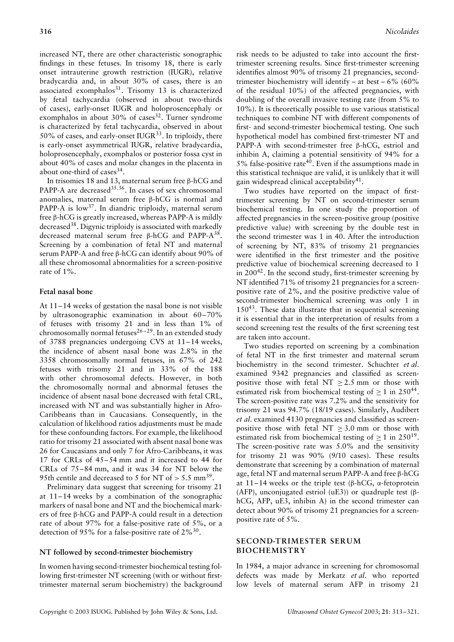increased NT, there are other characteristic sonographic findings in these fetuses. In trisomy 18, there is early onset intrauterine growth restriction (IUGR), relative bradycardia and, in about 30% of cases, there is an associated exomphalos $31$ . Trisomy 13 is characterized by fetal tachycardia (observed in about two-thirds of cases), early-onset IUGR and holoprosencephaly or exomphalos in about  $30\%$  of cases<sup>32</sup>. Turner syndrome is characterized by fetal tachycardia, observed in about 50% of cases, and early-onset IUGR<sup>33</sup>. In triploidy, there is early-onset asymmetrical IUGR, relative bradycardia, holoprosencephaly, exomphalos or posterior fossa cyst in about 40% of cases and molar changes in the placenta in about one-third of cases $34$ .

In trisomies 18 and 13, maternal serum free β-hCG and PAPP-A are decreased<sup>35,36</sup>. In cases of sex chromosomal anomalies, maternal serum free β-hCG is normal and PAPP-A is low<sup>37</sup>. In diandric triploidy, maternal serum free β-hCG is greatly increased, whereas PAPP-A is mildly decreased<sup>38</sup>. Digynic triploidy is associated with markedly decreased maternal serum free β-hCG and PAPP-A38. Screening by a combination of fetal NT and maternal serum PAPP-A and free β-hCG can identify about 90% of all these chromosomal abnormalities for a screen-positive rate of 1%.

#### **Fetal nasal bone**

At 11–14 weeks of gestation the nasal bone is not visible by ultrasonographic examination in about 60–70% of fetuses with trisomy 21 and in less than 1% of chromosomally normal fetuses $26-29$ . In an extended study of 3788 pregnancies undergoing CVS at 11–14 weeks, the incidence of absent nasal bone was 2.8% in the 3358 chromosomally normal fetuses, in 67% of 242 fetuses with trisomy 21 and in 33% of the 188 with other chromosomal defects. However, in both the chromosomally normal and abnormal fetuses the incidence of absent nasal bone decreased with fetal CRL, increased with NT and was substantially higher in Afro-Caribbeans than in Caucasians. Consequently, in the calculation of likelihood ratios adjustments must be made for these confounding factors. For example, the likelihood ratio for trisomy 21 associated with absent nasal bone was 26 for Caucasians and only 7 for Afro-Caribbeans, it was 17 for CRLs of 45–54 mm and it increased to 44 for CRLs of 75–84 mm, and it was 34 for NT below the 95th centile and decreased to 5 for NT of *>* 5.5 mm39.

Preliminary data suggest that screening for trisomy 21 at 11–14 weeks by a combination of the sonographic markers of nasal bone and NT and the biochemical markers of free β-hCG and PAPP-A could result in a detection rate of about 97% for a false-positive rate of 5%, or a detection of 95% for a false-positive rate of  $2\%^{30}$ .

#### **NT followed by second-trimester biochemistry**

In women having second-trimester biochemical testing following first-trimester NT screening (with or without firsttrimester maternal serum biochemistry) the background risk needs to be adjusted to take into account the firsttrimester screening results. Since first-trimester screening identifies almost 90% of trisomy 21 pregnancies, secondtrimester biochemistry will identify – at best –  $6\%$  ( $60\%$ ) of the residual 10%) of the affected pregnancies, with doubling of the overall invasive testing rate (from 5% to 10%). It is theoretically possible to use various statistical techniques to combine NT with different components of first- and second-trimester biochemical testing. One such hypothetical model has combined first-trimester NT and PAPP-A with second-trimester free β-hCG, estriol and inhibin A, claiming a potential sensitivity of 94% for a 5% false-positive rate<sup>40</sup>. Even if the assumptions made in this statistical technique are valid, it is unlikely that it will gain widespread clinical acceptability<sup>41</sup>.

Two studies have reported on the impact of firsttrimester screening by NT on second-trimester serum biochemical testing. In one study the proportion of affected pregnancies in the screen-positive group (positive predictive value) with screening by the double test in the second trimester was 1 in 40. After the introduction of screening by NT, 83% of trisomy 21 pregnancies were identified in the first trimester and the positive predictive value of biochemical screening decreased to 1 in 20042. In the second study, first-trimester screening by NT identified 71% of trisomy 21 pregnancies for a screenpositive rate of 2%, and the positive predictive value of second-trimester biochemical screening was only 1 in  $150^{43}$ . These data illustrate that in sequential screening it is essential that in the interpretation of results from a second screening test the results of the first screening test are taken into account.

Two studies reported on screening by a combination of fetal NT in the first trimester and maternal serum biochemistry in the second trimester. Schuchter *et al*. examined 9342 pregnancies and classified as screenpositive those with fetal NT  $\geq$  2.5 mm or those with estimated risk from biochemical testing of  $> 1$  in 250<sup>44</sup>. The screen-positive rate was 7.2% and the sensitivity for trisomy 21 was 94.7% (18/19 cases). Similarly, Audibert *et al*. examined 4130 pregnancies and classified as screenpositive those with fetal NT  $\geq$  3.0 mm or those with estimated risk from biochemical testing of  $\geq 1$  in 250<sup>19</sup>. The screen-positive rate was 5.0% and the sensitivity for trisomy 21 was 90% (9/10 cases). These results demonstrate that screening by a combination of maternal age, fetal NT and maternal serum PAPP-A and free β-hCG at 11–14 weeks or the triple test (β-hCG, α-fetoprotein (AFP), unconjugated estriol (uE3)) or quadruple test (βhCG, AFP, uE3, inhibin A) in the second trimester can detect about 90% of trisomy 21 pregnancies for a screenpositive rate of 5%.

#### **SECOND-TRIMESTER SERUM BIOCHEMISTRY**

In 1984, a major advance in screening for chromosomal defects was made by Merkatz *et al*. who reported low levels of maternal serum AFP in trisomy 21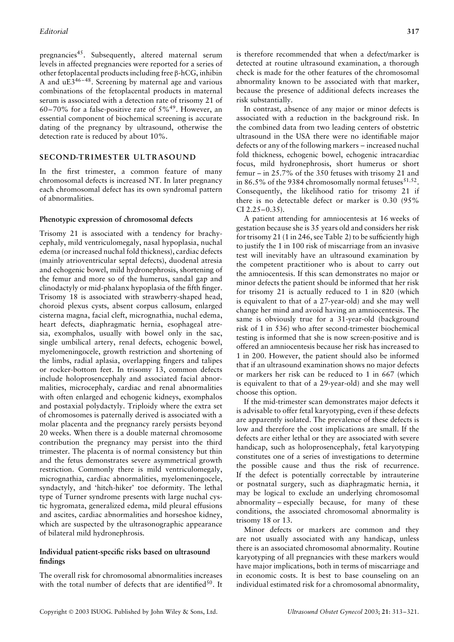pregnancies<sup>45</sup>. Subsequently, altered maternal serum levels in affected pregnancies were reported for a series of other fetoplacental products including free β-hCG, inhibin A and uE346–48. Screening by maternal age and various combinations of the fetoplacental products in maternal serum is associated with a detection rate of trisomy 21 of 60–70% for a false-positive rate of  $5\%^{49}$ . However, an essential component of biochemical screening is accurate dating of the pregnancy by ultrasound, otherwise the detection rate is reduced by about 10%.

## **SECOND-TRIMESTER ULTRASOUND**

In the first trimester, a common feature of many chromosomal defects is increased NT. In later pregnancy each chromosomal defect has its own syndromal pattern of abnormalities.

#### **Phenotypic expression of chromosomal defects**

Trisomy 21 is associated with a tendency for brachycephaly, mild ventriculomegaly, nasal hypoplasia, nuchal edema (or increased nuchal fold thickness), cardiac defects (mainly atrioventricular septal defects), duodenal atresia and echogenic bowel, mild hydronephrosis, shortening of the femur and more so of the humerus, sandal gap and clinodactyly or mid-phalanx hypoplasia of the fifth finger. Trisomy 18 is associated with strawberry-shaped head, choroid plexus cysts, absent corpus callosum, enlarged cisterna magna, facial cleft, micrognathia, nuchal edema, heart defects, diaphragmatic hernia, esophageal atresia, exomphalos, usually with bowel only in the sac, single umbilical artery, renal defects, echogenic bowel, myelomeningocele, growth restriction and shortening of the limbs, radial aplasia, overlapping fingers and talipes or rocker-bottom feet. In trisomy 13, common defects include holoprosencephaly and associated facial abnormalities, microcephaly, cardiac and renal abnormalities with often enlarged and echogenic kidneys, exomphalos and postaxial polydactyly. Triploidy where the extra set of chromosomes is paternally derived is associated with a molar placenta and the pregnancy rarely persists beyond 20 weeks. When there is a double maternal chromosome contribution the pregnancy may persist into the third trimester. The placenta is of normal consistency but thin and the fetus demonstrates severe asymmetrical growth restriction. Commonly there is mild ventriculomegaly, micrognathia, cardiac abnormalities, myelomeningocele, syndactyly, and 'hitch-hiker' toe deformity. The lethal type of Turner syndrome presents with large nuchal cystic hygromata, generalized edema, mild pleural effusions and ascites, cardiac abnormalities and horseshoe kidney, which are suspected by the ultrasonographic appearance of bilateral mild hydronephrosis.

#### **Individual patient-specific risks based on ultrasound findings**

The overall risk for chromosomal abnormalities increases with the total number of defects that are identified<sup>50</sup>. It

In contrast, absence of any major or minor defects is associated with a reduction in the background risk. In the combined data from two leading centers of obstetric ultrasound in the USA there were no identifiable major defects or any of the following markers – increased nuchal fold thickness, echogenic bowel, echogenic intracardiac focus, mild hydronephrosis, short humerus or short femur – in 25.7% of the 350 fetuses with trisomy 21 and in 86.5% of the 9384 chromosomally normal fetuses<sup>51,52</sup>. Consequently, the likelihood ratio for trisomy 21 if there is no detectable defect or marker is 0.30 (95%  $CI$  2.25 $-0.35$ ).

A patient attending for amniocentesis at 16 weeks of gestation because she is 35 years old and considers her risk for trisomy 21 (1 in 246, see Table 2) to be sufficiently high to justify the 1 in 100 risk of miscarriage from an invasive test will inevitably have an ultrasound examination by the competent practitioner who is about to carry out the amniocentesis. If this scan demonstrates no major or minor defects the patient should be informed that her risk for trisomy 21 is actually reduced to 1 in 820 (which is equivalent to that of a 27-year-old) and she may well change her mind and avoid having an amniocentesis. The same is obviously true for a 31-year-old (background risk of 1 in 536) who after second-trimester biochemical testing is informed that she is now screen-positive and is offered an amniocentesis because her risk has increased to 1 in 200. However, the patient should also be informed that if an ultrasound examination shows no major defects or markers her risk can be reduced to 1 in 667 (which is equivalent to that of a 29-year-old) and she may well choose this option.

If the mid-trimester scan demonstrates major defects it is advisable to offer fetal karyotyping, even if these defects are apparently isolated. The prevalence of these defects is low and therefore the cost implications are small. If the defects are either lethal or they are associated with severe handicap, such as holoprosencephaly, fetal karyotyping constitutes one of a series of investigations to determine the possible cause and thus the risk of recurrence. If the defect is potentially correctable by intrauterine or postnatal surgery, such as diaphragmatic hernia, it may be logical to exclude an underlying chromosomal abnormality – especially because, for many of these conditions, the associated chromosomal abnormality is trisomy 18 or 13.

Minor defects or markers are common and they are not usually associated with any handicap, unless there is an associated chromosomal abnormality. Routine karyotyping of all pregnancies with these markers would have major implications, both in terms of miscarriage and in economic costs. It is best to base counseling on an individual estimated risk for a chromosomal abnormality,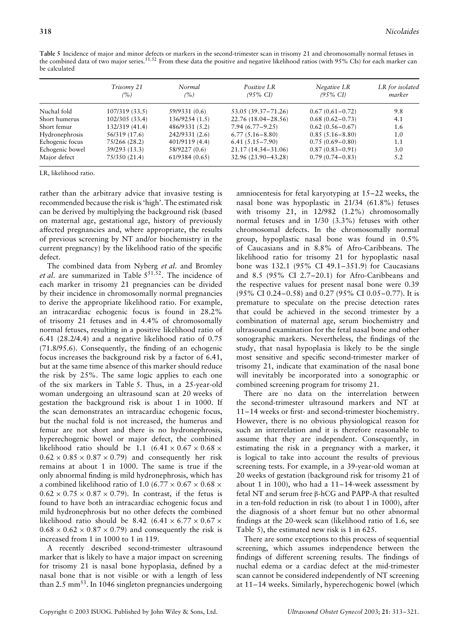**Table 5** Incidence of major and minor defects or markers in the second-trimester scan in trisomy 21 and chromosomally normal fetuses in the combined data of two major series.51*,*<sup>52</sup> From these data the positive and negative likelihood ratios (with 95% CIs) for each marker can be calculated

|                 | Trisomy 21<br>(%) | Normal<br>(%)  | Positive LR<br>$(95\% \; \text{CI})$ | Negative LR<br>$(95\% \text{ CI})$ | LR for isolated<br>marker |
|-----------------|-------------------|----------------|--------------------------------------|------------------------------------|---------------------------|
| Nuchal fold     | 107/319 (33.5)    | 59/9331 (0.6)  | 53.05 (39.37–71.26)                  | $0.67(0.61 - 0.72)$                | 9.8                       |
| Short humerus   | 102/305 (33.4)    | 136/9254 (1.5) | 22.76 (18.04 - 28.56)                | $0.68(0.62 - 0.73)$                | 4.1                       |
| Short femur     | 132/319 (41.4)    | 486/9331 (5.2) | $7.94(6.77 - 9.25)$                  | $0.62(0.56 - 0.67)$                | 1.6                       |
| Hydronephrosis  | 56/319 (17.6)     | 242/9331 (2.6) | $6.77(5.16 - 8.80)$                  | $0.85(5.16 - 8.80)$                | 1.0                       |
| Echogenic focus | 75/266 (28.2)     | 401/9119 (4.4) | $6.41(5.15 - 7.90)$                  | $0.75(0.69 - 0.80)$                | 1.1                       |
| Echogenic bowel | 39/293 (13.3)     | 58/9227 (0.6)  | 21.17 (14.34 – 31.06)                | $0.87(0.83 - 0.91)$                | 3.0                       |
| Major defect    | 75/350 (21.4)     | 61/9384(0.65)  | 32.96 (23.90 - 43.28)                | $0.79(0.74 - 0.83)$                | 5.2                       |

LR, likelihood ratio.

rather than the arbitrary advice that invasive testing is recommended because the risk is 'high'. The estimated risk can be derived by multiplying the background risk (based on maternal age, gestational age, history of previously affected pregnancies and, where appropriate, the results of previous screening by NT and/or biochemistry in the current pregnancy) by the likelihood ratio of the specific defect.

The combined data from Nyberg *et al*. and Bromley *et al*. are summarized in Table 551*,*52. The incidence of each marker in trisomy 21 pregnancies can be divided by their incidence in chromosomally normal pregnancies to derive the appropriate likelihood ratio. For example, an intracardiac echogenic focus is found in 28.2% of trisomy 21 fetuses and in 4.4% of chromosomally normal fetuses, resulting in a positive likelihood ratio of 6.41 (28.2/4.4) and a negative likelihood ratio of 0.75 (71.8/95.6). Consequently, the finding of an echogenic focus increases the background risk by a factor of 6.41, but at the same time absence of this marker should reduce the risk by 25%. The same logic applies to each one of the six markers in Table 5. Thus, in a 25-year-old woman undergoing an ultrasound scan at 20 weeks of gestation the background risk is about 1 in 1000. If the scan demonstrates an intracardiac echogenic focus, but the nuchal fold is not increased, the humerus and femur are not short and there is no hydronephrosis, hyperechogenic bowel or major defect, the combined likelihood ratio should be 1.1  $(6.41 \times 0.67 \times 0.68 \times$  $0.62 \times 0.85 \times 0.87 \times 0.79$  and consequently her risk remains at about 1 in 1000. The same is true if the only abnormal finding is mild hydronephrosis, which has a combined likelihood ratio of 1.0 (6.77  $\times$  0.67  $\times$  0.68  $\times$  $0.62 \times 0.75 \times 0.87 \times 0.79$ . In contrast, if the fetus is found to have both an intracardiac echogenic focus and mild hydronephrosis but no other defects the combined likelihood ratio should be 8.42 (6.41  $\times$  6.77  $\times$  0.67  $\times$  $0.68 \times 0.62 \times 0.87 \times 0.79$  and consequently the risk is increased from 1 in 1000 to 1 in 119.

A recently described second-trimester ultrasound marker that is likely to have a major impact on screening for trisomy 21 is nasal bone hypoplasia, defined by a nasal bone that is not visible or with a length of less than  $2.5 \text{ mm}^{53}$ . In 1046 singleton pregnancies undergoing amniocentesis for fetal karyotyping at 15–22 weeks, the nasal bone was hypoplastic in 21/34 (61.8%) fetuses with trisomy 21, in 12/982 (1.2%) chromosomally normal fetuses and in 1/30 (3.3%) fetuses with other chromosomal defects. In the chromosomally normal group, hypoplastic nasal bone was found in 0.5% of Caucasians and in 8.8% of Afro-Caribbeans. The likelihood ratio for trisomy 21 for hypoplastic nasal bone was 132.1 (95% CI 49.1–351.9) for Caucasians and 8.5 (95% CI 2.7–20.1) for Afro-Caribbeans and the respective values for present nasal bone were 0.39 (95% CI 0.24–0.58) and 0.27 (95% CI 0.05–0.77). It is premature to speculate on the precise detection rates that could be achieved in the second trimester by a combination of maternal age, serum biochemistry and ultrasound examination for the fetal nasal bone and other sonographic markers. Nevertheless, the findings of the study, that nasal hypoplasia is likely to be the single most sensitive and specific second-trimester marker of trisomy 21, indicate that examination of the nasal bone will inevitably be incorporated into a sonographic or combined screening program for trisomy 21.

There are no data on the interrelation between the second-trimester ultrasound markers and NT at 11–14 weeks or first- and second-trimester biochemistry. However, there is no obvious physiological reason for such an interrelation and it is therefore reasonable to assume that they are independent. Consequently, in estimating the risk in a pregnancy with a marker, it is logical to take into account the results of previous screening tests. For example, in a 39-year-old woman at 20 weeks of gestation (background risk for trisomy 21 of about 1 in 100), who had a  $11-14$ -week assessment by fetal NT and serum free β-hCG and PAPP-A that resulted in a ten-fold reduction in risk (to about 1 in 1000), after the diagnosis of a short femur but no other abnormal findings at the 20-week scan (likelihood ratio of 1.6, see Table 5), the estimated new risk is 1 in 625.

There are some exceptions to this process of sequential screening, which assumes independence between the findings of different screening results. The findings of nuchal edema or a cardiac defect at the mid-trimester scan cannot be considered independently of NT screening at 11–14 weeks. Similarly, hyperechogenic bowel (which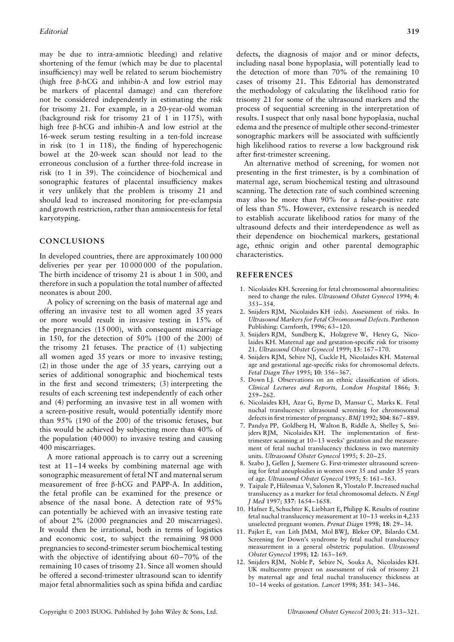may be due to intra-amniotic bleeding) and relative shortening of the femur (which may be due to placental insufficiency) may well be related to serum biochemistry (high free β-hCG and inhibin-A and low estriol may be markers of placental damage) and can therefore not be considered independently in estimating the risk for trisomy 21. For example, in a 20-year-old woman (background risk for trisomy 21 of 1 in 1175), with high free β-hCG and inhibin-A and low estriol at the 16-week serum testing resulting in a ten-fold increase in risk (to 1 in 118), the finding of hyperechogenic bowel at the 20-week scan should not lead to the erroneous conclusion of a further three-fold increase in risk (to 1 in 39). The coincidence of biochemical and sonographic features of placental insufficiency makes it very unlikely that the problem is trisomy 21 and should lead to increased monitoring for pre-eclampsia and growth restriction, rather than amniocentesis for fetal karyotyping.

#### **CONCLUSIONS**

In developed countries, there are approximately 100 000 deliveries per year per 10 000 000 of the population. The birth incidence of trisomy 21 is about 1 in 500, and therefore in such a population the total number of affected neonates is about 200.

A policy of screening on the basis of maternal age and offering an invasive test to all women aged 35 years or more would result in invasive testing in 15% of the pregnancies (15 000), with consequent miscarriage in 150, for the detection of 50% (100 of the 200) of the trisomy 21 fetuses. The practice of (1) subjecting all women aged 35 years or more to invasive testing; (2) in those under the age of 35 years, carrying out a series of additional sonographic and biochemical tests in the first and second trimesters; (3) interpreting the results of each screening test independently of each other and (4) performing an invasive test in all women with a screen-positive result, would potentially identify more than 95% (190 of the 200) of the trisomic fetuses, but this would be achieved by subjecting more than 40% of the population (40 000) to invasive testing and causing 400 miscarriages.

A more rational approach is to carry out a screening test at 11–14 weeks by combining maternal age with sonographic measurement of fetal NT and maternal serum measurement of free β-hCG and PAPP-A. In addition, the fetal profile can be examined for the presence or absence of the nasal bone. A detection rate of 95% can potentially be achieved with an invasive testing rate of about 2% (2000 pregnancies and 20 miscarriages). It would then be irrational, both in terms of logistics and economic cost, to subject the remaining 98 000 pregnancies to second-trimester serum biochemical testing with the objective of identifying about 60–70% of the remaining 10 cases of trisomy 21. Since all women should be offered a second-trimester ultrasound scan to identify major fetal abnormalities such as spina bifida and cardiac

defects, the diagnosis of major and or minor defects, including nasal bone hypoplasia, will potentially lead to the detection of more than 70% of the remaining 10 cases of trisomy 21. This Editorial has demonstrated the methodology of calculating the likelihood ratio for trisomy 21 for some of the ultrasound markers and the process of sequential screening in the interpretation of results. I suspect that only nasal bone hypoplasia, nuchal edema and the presence of multiple other second-trimester sonographic markers will be associated with sufficiently high likelihood ratios to reverse a low background risk after first-trimester screening.

An alternative method of screening, for women not presenting in the first trimester, is by a combination of maternal age, serum biochemical testing and ultrasound scanning. The detection rate of such combined screening may also be more than 90% for a false-positive rate of less than 5%. However, extensive research is needed to establish accurate likelihood ratios for many of the ultrasound defects and their interdependence as well as their dependence on biochemical markers, gestational age, ethnic origin and other parental demographic characteristics.

#### **REFERENCES**

- 1. Nicolaides KH. Screening for fetal chromosomal abnormalities: need to change the rules. *Ultrasound Obstet Gynecol* 1994; **4**: 353–354.
- 2. Snijders RJM, Nicolaides KH (eds). Assessment of risks. In *Ultrasound Markers for Fetal Chromosomal Defects*. Parthenon Publishing: Carnforth, 1996; 63–120.
- 3. Snijders RJM, Sundberg K, Holzgreve W, Henry G, Nicolaides KH. Maternal age and gestation-specific risk for trisomy 21. *Ultrasound Obstet Gynecol* 1999; **13**: 167–170.
- 4. Snijders RJM, Sebire NJ, Cuckle H, Nicolaides KH. Maternal age and gestational age-specific risks for chromosomal defects. *Fetal Diagn Ther* 1995; **10**: 356–367.
- 5. Down LJ. Observations on an ethnic classification of idiots. *Clinical Lectures and Reports, London Hospital* 1866; **3**: 259–262.
- 6. Nicolaides KH, Azar G, Byrne D, Mansur C, Marks K. Fetal nuchal translucency: ultrasound screening for chromosomal defects in first trimester of pregnancy. *BMJ* 1992; **304**: 867–889.
- 7. Pandya PP, Goldberg H, Walton B, Riddle A, Shelley S, Snijders RJM, Nicolaides KH. The implementation of firsttrimester scanning at 10–13 weeks' gestation and the measurement of fetal nuchal translucency thickness in two maternity units. *Ultrasound Obstet Gynecol* 1995; **5**: 20–25.
- 8. Szabo J, Gellen J, Szemere G. First-trimester ultrasound screening for fetal aneuploidies in women over 35 and under 35 years of age. *Ultrasound Obstet Gynecol* 1995; **5**: 161–163.
- 9. Taipale P, Hiilesmaa V, Salonen R, Ylostalo P. Increased nuchal translucency as a marker for fetal chromosomal defects. *N Engl J Med* 1997; **337**: 1654–1658.
- 10. Hafner E, Schuchter K, Liebhart E, Philipp K. Results of routine fetal nuchal translucency measurement at 10–13 weeks in 4,233 unselected pregnant women. *Prenat Diagn* 1998; **18**: 29–34.
- 11. Pajkrt E, van Lith JMM, Mol BWJ, Bleker OP, Bilardo CM. Screening for Down's syndrome by fetal nuchal translucency measurement in a general obstetric population. *Ultrasound Obstet Gynecol* 1998; **12**: 163–169.
- 12. Snijders RJM, Noble P, Sebire N, Souka A, Nicolaides KH. UK multicentre project on assessment of risk of trisomy 21 by maternal age and fetal nuchal translucency thickness at 10–14 weeks of gestation. *Lancet* 1998; **351**: 343–346.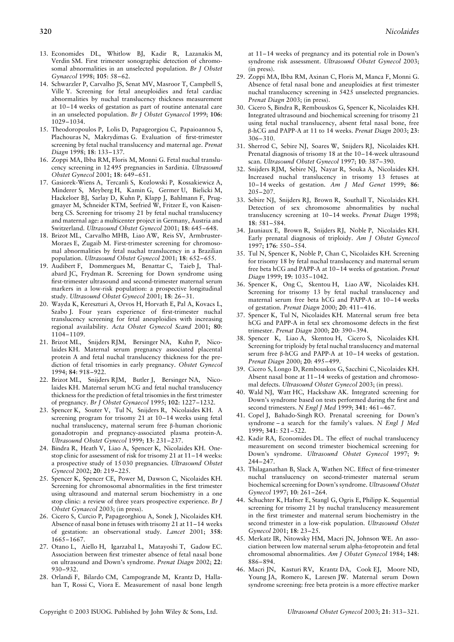- 13. Economides DL, Whitlow BJ, Kadir R, Lazanakis M, Verdin SM. First trimester sonographic detection of chromosomal abnormalities in an unselected population. *Br J Obstet Gynaecol* 1998; **105**: 58–62.
- 14. Schwarzler P, Carvalho JS, Senat MV, Masroor T, Campbell S, Ville Y. Screening for fetal aneuploidies and fetal cardiac abnormalities by nuchal translucency thickness measurement at 10–14 weeks of gestation as part of routine antenatal care in an unselected population. *Br J Obstet Gynaecol* 1999; **106**: 1029–1034.
- 15. Theodoropoulos P, Lolis D, Papageorgiou C, Papaioannou S, Plachouras N, Makrydimas G. Evaluation of first-trimester screening by fetal nuchal translucency and maternal age. *Prenat Diagn* 1998; **18**: 133–137.
- 16. Zoppi MA, Ibba RM, Floris M, Monni G. Fetal nuchal translucency screening in 12 495 pregnancies in Sardinia. *Ultrasound Obstet Gynecol* 2001; **18**: 649–651.
- 17. Gasiorek-Wiens A, Tercanli S, Kozlowski P, Kossakiewicz A, Minderer S, Meyberg H, Kamin G, Germer U, Bielicki M, Hackeloer BJ, Sarlay D, Kuhn P, Klapp J, Bahlmann F, Pruggmayer M, Schneider KTM, Seefried W, Fritzer E, von Kaisenberg CS. Screening for trisomy 21 by fetal nuchal translucency and maternal age: a multicenter project in Germany, Austria and Switzerland. *Ultrasound Obstet Gynecol* 2001; **18**: 645–648.
- 18. Brizot ML, Carvalho MHB, Liao AW, Reis SV, Armbruster-Moraes E, Zugaib M. First-trimester screening for chromosomal abnormalities by fetal nuchal translucency in a Brazilian population. *Ultrasound Obstet Gynecol* 2001; **18**: 652–655.
- 19. Audibert F, Dommergues M, Benattar C, Taieb J, Thalabard JC, Frydman R. Screening for Down syndrome using first-trimester ultrasound and second-trimester maternal serum markers in a low-risk population: a prospective longitudinal study. *Ultrasound Obstet Gynecol* 2001; **18**: 26–31.
- 20. Wayda K, Kereszturi A, Orvos H, Horvath E, Pal A, Kovacs L, Szabo J. Four years experience of first-trimester nuchal translucency screening for fetal aneuploidies with increasing regional availability. *Acta Obstet Gynecol Scand* 2001; **80**: 1104–1109.
- 21. Brizot ML, Snijders RJM, Bersinger NA, Kuhn P, Nicolaides KH. Maternal serum pregnancy associated placental protein A and fetal nuchal translucency thickness for the prediction of fetal trisomies in early pregnancy. *Obstet Gynecol* 1994; **84**: 918–922.
- 22. Brizot ML, Snijders RJM, Butler J, Bersinger NA, Nicolaides KH. Maternal serum hCG and fetal nuchal translucency thickness for the prediction of fetal trisomies in the first trimester of pregnancy. *Br J Obstet Gynaecol* 1995; **102**: 1227–1232.
- 23. Spencer K, Souter V, Tul N, Snijders R, Nicolaides KH. A screening program for trisomy 21 at 10–14 weeks using fetal nuchal translucency, maternal serum free β-human chorionic gonadotropin and pregnancy-associated plasma protein-A. *Ultrasound Obstet Gynecol* 1999; **13**: 231–237.
- 24. Bindra R, Heath V, Liao A, Spencer K, Nicolaides KH. Onestop clinic for assessment of risk for trisomy 21 at 11–14 weeks: a prospective study of 15 030 pregnancies. *Ultrasound Obstet Gynecol* 2002; **20**: 219–225.
- 25. Spencer K, Spencer CE, Power M, Dawson C, Nicolaides KH. Screening for chromosomal abnormalities in the first trimester using ultrasound and maternal serum biochemistry in a one stop clinic: a review of three years prospective experience. *Br J Obstet Gynaecol* 2003; (in press).
- 26. Cicero S, Curcio P, Papageorghiou A, Sonek J, Nicolaides KH. Absence of nasal bone in fetuses with trisomy 21 at 11–14 weeks of gestation: an observational study. *Lancet* 2001; **358**: 1665–1667.
- 27. Otano L, Aiello H, Igarzabal L, Matayoshi T, Gadow EC. Association between first trimester absence of fetal nasal bone on ultrasound and Down's syndrome. *Prenat Diagn* 2002; **22**: 930–932.
- 28. Orlandi F, Bilardo CM, Campogrande M, Krantz D, Hallahan T, Rossi C, Viora E. Measurement of nasal bone length

at 11–14 weeks of pregnancy and its potential role in Down's syndrome risk assessment. *Ultrasound Obstet Gynecol* 2003; (in press).

- 29. Zoppi MA, Ibba RM, Axinan C, Floris M, Manca F, Monni G. Absence of fetal nasal bone and aneuploidies at first trimester nuchal translucency screening in 5425 unselected pregnancies. *Prenat Diagn* 2003; (in press).
- 30. Cicero S, Bindra R, Rembouskos G, Spencer K, Nicolaides KH. Integrated ultrasound and biochemical screening for trisomy 21 using fetal nuchal translucency, absent fetal nasal bone, free β-hCG and PAPP-A at 11 to 14 weeks. *Prenat Diagn* 2003; **23**: 306–310.
- 31. Sherrod C, Sebire NJ, Soares W, Snijders RJ, Nicolaides KH. Prenatal diagnosis of trisomy 18 at the 10–14-week ultrasound scan. *Ultrasound Obstet Gynecol* 1997; **10**: 387–390.
- 32. Snijders RJM, Sebire NJ, Nayar R, Souka A, Nicolaides KH. Increased nuchal translucency in trisomy 13 fetuses at 10–14 weeks of gestation. *Am J Med Genet* 1999; **86**: 205–207.
- 33. Sebire NJ, Snijders RJ, Brown R, Southall T, Nicolaides KH. Detection of sex chromosome abnormalities by nuchal translucency screening at 10–14 weeks. *Prenat Diagn* 1998; **18**: 581–584.
- 34. Jauniaux E, Brown R, Snijders RJ, Noble P, Nicolaides KH. Early prenatal diagnosis of triploidy. *Am J Obstet Gynecol* 1997; **176**: 550–554.
- 35. Tul N, Spencer K, Noble P, Chan C, Nicolaides KH. Screening for trisomy 18 by fetal nuchal translucency and maternal serum free beta hCG and PAPP-A at 10–14 weeks of gestation. *Prenat Diagn* 1999; **19**: 1035–1042.
- 36. Spencer K, Ong C, Skentou H, Liao AW, Nicolaides KH. Screening for trisomy 13 by fetal nuchal translucency and maternal serum free beta hCG and PAPP-A at 10–14 weeks of gestation. *Prenat Diagn* 2000; **20**: 411–416.
- 37. Spencer K, Tul N, Nicolaides KH. Maternal serum free beta hCG and PAPP-A in fetal sex chromosome defects in the first trimester. *Prenat Diagn* 2000; **20**: 390–394.
- 38. Spencer K, Liao A, Skentou H, Cicero S, Nicolaides KH. Screening for triploidy by fetal nuchal translucency and maternal serum free β-hCG and PAPP-A at 10–14 weeks of gestation. *Prenat Diagn* 2000; **20**: 495–499.
- 39. Cicero S, Longo D, Rembouskos G, Sacchini C, Nicolaides KH. Absent nasal bone at 11–14 weeks of gestation and chromosomal defects. *Ultrasound Obstet Gynecol* 2003; (in press).
- 40. Wald NJ, Watt HC, Hackshaw AK. Integrated screening for Down's syndrome based on tests performed during the first and second trimesters. *N Engl J Med* 1999; **341**: 461–467.
- 41. Copel J, Bahado-Singh RO. Prenatal screening for Down's syndrome – a search for the family's values. *N Engl J Med* 1999; **341**: 521–522.
- 42. Kadir RA, Economides DL. The effect of nuchal translucency measurement on second trimester biochemical screening for Down's syndrome. *Ultrasound Obstet Gynecol* 1997; **9**: 244–247.
- 43. Thilaganathan B, Slack A, Wathen NC. Effect of first-trimester nuchal translucency on second-trimester maternal serum biochemical screening for Down's syndrome. *Ultrasound Obstet Gynecol* 1997; **10**: 261–264.
- 44. Schuchter K, Hafner E, Stangl G, Ogris E, Philipp K. Sequential screening for trisomy 21 by nuchal translucency measurement in the first trimester and maternal serum biochemistry in the second trimester in a low-risk population. *Ultrasound Obstet Gynecol* 2001; **18**: 23–25.
- 45. Merkatz IR, Nitowsky HM, Macri JN, Johnson WE. An association between low maternal serum alpha-fetoprotein and fetal chromosomal abnormalities. *Am J Obstet Gynecol* 1984; **148**: 886–894.
- 46. Macri JN, Kasturi RV, Krantz DA, Cook EJ, Moore ND, Young JA, Romero K, Laresen JW. Maternal serum Down syndrome screening: free beta protein is a more effective marker